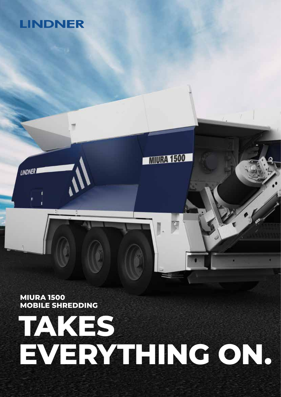## **LINDNER**

**LINDNER** 

**MIURA 1500 MOBILE SHREDDING**

## **TAKES EVERYTHING ON.**

TRA 1500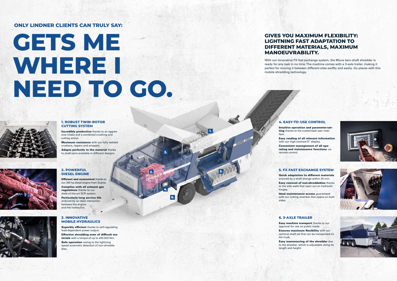**1.**

**2.**

**3.**

**4.**

**5.**

**6.**



#### **1. ROBUST TWIN-ROTOR CUTTING SYSTEM**

Incredibly productive thanks to an aggressive intake and a combined crushing and cutting action.

Maximum resistance with our fully welded crushers, rippers and scrapers.

**Efficient and economical thanks to** our 350 hp diesel engine from Scania. Complies with all exhaust gas regulations thanks to our state-of-the-art SCR system. Particularly long service life

Adapts perfectly to the material thanks to shaft pairs available in different designs.



Superbly efficient thanks to self-regulating load-dependent power output.

Safe operation owing to the lightning speed automatic detection of non-shreddables.

Intuitive operation and parameter-setting thanks to the customised user inter-

ensured by an ideal interaction between the engine and the hydraulics.



#### **3. INNOVATIVE MOBILE HYDRAULICS**

Effective shredding even of difficult materials with a torque of up to 240.000 Nm.

Easy machine transport thanks to our Ensures maximum flexibility with our



#### **4. EASY-TO-USE CONTROL**

Easy reading of all relevant information Convenient management of all operating and maintenance functions via



Ideal maintenance access quaranteed with our cutting chamber that opens on both



face. with our high-contrast 8" display. remote control.

#### **5. FX FAST EXCHANGE SYSTEM**

Quick adaptation to different materials ensured by a shaft change within 20 min. Easy removal of non-shreddables thanks to the side walls that open out on hydraulic hinges.

sides.

#### **6. 3-AXLE TRAILER**

approval for use on public roads. optional shaft set that can be transported on the truck.

Easy manoeuvring of the shredder due to the drawbar, which is adjustable along its length and height.

# **GETS ME**  WHERE I **NEED TO GO.**

### **GIVES YOU MAXIMUM FLEXIBILITY: LIGHTNING FAST ADAPTATION TO DIFFERENT MATERIALS, MAXIMUM MANOEUVRABILITY.**

With our innovative FX fast exchange system, the Miura twin-shaft shredder is ready for any task in no time. The machine comes with a 3-axle trailer, making it perfect for moving it between different sites swiftly and easily. Go places with this mobile shredding technology.



### **ONLY LINDNER CLIENTS CAN TRULY SAY:**